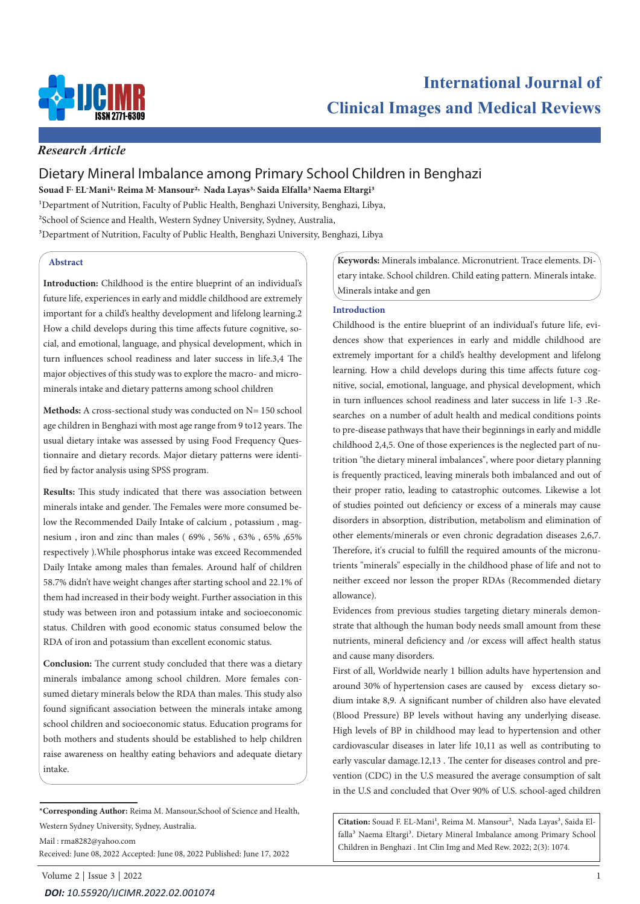

# *Research Article*

# Dietary Mineral Imbalance among Primary School Children in Benghazi

**Souad F. EL-Mani1, Reima M. Mansour2, Nada Layas3, Saida Elfalla3 Naema Eltargi3**

<sup>1</sup>Department of Nutrition, Faculty of Public Health, Benghazi University, Benghazi, Libya, 2School of Science and Health, Western Sydney University, Sydney, Australia, <sup>3</sup>Department of Nutrition, Faculty of Public Health, Benghazi University, Benghazi, Libya

# **Abstract**

**Introduction:** Childhood is the entire blueprint of an individual's future life, experiences in early and middle childhood are extremely important for a child's healthy development and lifelong learning.2 How a child develops during this time affects future cognitive, social, and emotional, language, and physical development, which in turn influences school readiness and later success in life.3,4 The major objectives of this study was to explore the macro- and microminerals intake and dietary patterns among school children

**Methods:** A cross-sectional study was conducted on N= 150 school age children in Benghazi with most age range from 9 to12 years. The usual dietary intake was assessed by using Food Frequency Questionnaire and dietary records. Major dietary patterns were identified by factor analysis using SPSS program.

**Results:** This study indicated that there was association between minerals intake and gender. The Females were more consumed below the Recommended Daily Intake of calcium , potassium , magnesium , iron and zinc than males ( 69% , 56% , 63% , 65% ,65% respectively ).While phosphorus intake was exceed Recommended Daily Intake among males than females. Around half of children 58.7% didn't have weight changes after starting school and 22.1% of them had increased in their body weight. Further association in this study was between iron and potassium intake and socioeconomic status. Children with good economic status consumed below the RDA of iron and potassium than excellent economic status.

**Conclusion:** The current study concluded that there was a dietary minerals imbalance among school children. More females consumed dietary minerals below the RDA than males. This study also found significant association between the minerals intake among school children and socioeconomic status. Education programs for both mothers and students should be established to help children raise awareness on healthy eating behaviors and adequate dietary intake.

**\*Corresponding Author:** Reima M. Mansour,School of Science and Health, Western Sydney University, Sydney, Australia.

Mail : rma8282@yahoo.com

Received: June 08, 2022 Accepted: June 08, 2022 Published: June 17, 2022

**Keywords:** Minerals imbalance. Micronutrient. Trace elements. Dietary intake. School children. Child eating pattern. Minerals intake. Minerals intake and gen

### **Introduction**

Childhood is the entire blueprint of an individual's future life, evidences show that experiences in early and middle childhood are extremely important for a child's healthy development and lifelong learning. How a child develops during this time affects future cognitive, social, emotional, language, and physical development, which in turn influences school readiness and later success in life 1-3 .Researches on a number of adult health and medical conditions points to pre-disease pathways that have their beginnings in early and middle childhood 2,4,5. One of those experiences is the neglected part of nutrition "the dietary mineral imbalances", where poor dietary planning is frequently practiced, leaving minerals both imbalanced and out of their proper ratio, leading to catastrophic outcomes. Likewise a lot of studies pointed out deficiency or excess of a minerals may cause disorders in absorption, distribution, metabolism and elimination of other elements/minerals or even chronic degradation diseases 2,6,7. Therefore, it's crucial to fulfill the required amounts of the micronutrients "minerals" especially in the childhood phase of life and not to neither exceed nor lesson the proper RDAs (Recommended dietary allowance).

Evidences from previous studies targeting dietary minerals demonstrate that although the human body needs small amount from these nutrients, mineral deficiency and /or excess will affect health status and cause many disorders.

First of all, Worldwide nearly 1 billion adults have hypertension and around 30% of hypertension cases are caused by excess dietary sodium intake 8,9. A significant number of children also have elevated (Blood Pressure) BP levels without having any underlying disease. High levels of BP in childhood may lead to hypertension and other cardiovascular diseases in later life 10,11 as well as contributing to early vascular damage.12,13 . The center for diseases control and prevention (CDC) in the U.S measured the average consumption of salt in the U.S and concluded that Over 90% of U.S. school-aged children

Citation: Souad F. EL-Mani<sup>1</sup>, Reima M. Mansour<sup>2</sup>, Nada Layas<sup>3</sup>, Saida Elfalla<sup>3</sup> Naema Eltargi<sup>3</sup>. Dietary Mineral Imbalance among Primary School Children in Benghazi . Int Clin Img and Med Rew. 2022; 2(3): 1074.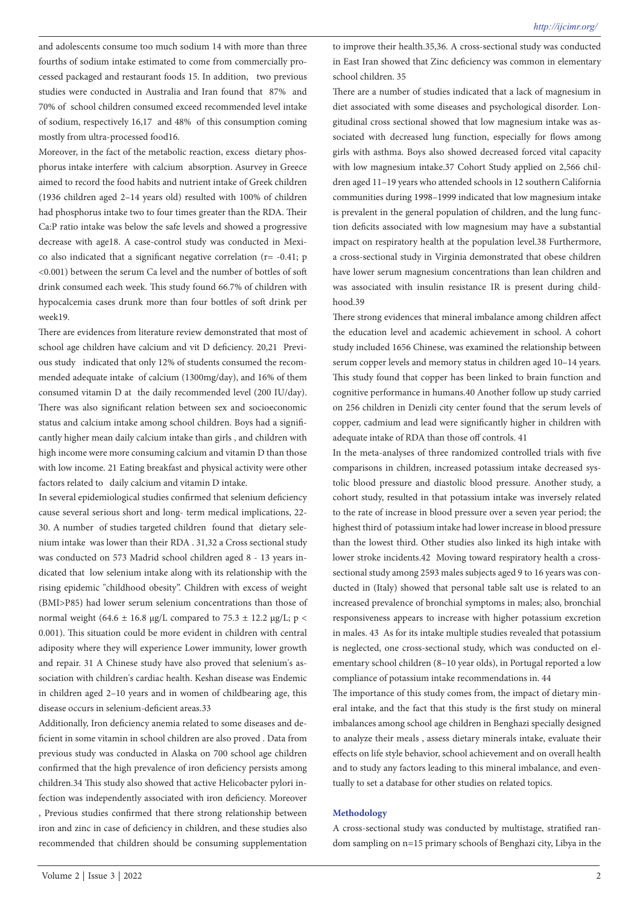and adolescents consume too much sodium 14 with more than three fourths of sodium intake estimated to come from commercially processed packaged and restaurant foods 15. In addition, two previous studies were conducted in Australia and Iran found that 87% and 70% of school children consumed exceed recommended level intake of sodium, respectively 16,17 and 48% of this consumption coming mostly from ultra-processed food16.

Moreover, in the fact of the metabolic reaction, excess dietary phosphorus intake interfere with calcium absorption. Asurvey in Greece aimed to record the food habits and nutrient intake of Greek children (1936 children aged 2–14 years old) resulted with 100% of children had phosphorus intake two to four times greater than the RDA. Their Ca:P ratio intake was below the safe levels and showed a progressive decrease with age18. A case-control study was conducted in Mexico also indicated that a significant negative correlation ( $r = -0.41$ ; p <0.001) between the serum Ca level and the number of bottles of soft drink consumed each week. This study found 66.7% of children with hypocalcemia cases drunk more than four bottles of soft drink per week19.

There are evidences from literature review demonstrated that most of school age children have calcium and vit D deficiency. 20,21 Previous study indicated that only 12% of students consumed the recommended adequate intake of calcium (1300mg/day), and 16% of them consumed vitamin D at the daily recommended level (200 IU/day). There was also significant relation between sex and socioeconomic status and calcium intake among school children. Boys had a significantly higher mean daily calcium intake than girls , and children with high income were more consuming calcium and vitamin D than those with low income. 21 Eating breakfast and physical activity were other factors related to daily calcium and vitamin D intake.

In several epidemiological studies confirmed that selenium deficiency cause several serious short and long- term medical implications, 22- 30. A number of studies targeted children found that dietary selenium intake was lower than their RDA . 31,32 a Cross sectional study was conducted on 573 Madrid school children aged 8 - 13 years indicated that low selenium intake along with its relationship with the rising epidemic "childhood obesity". Children with excess of weight (BMI>P85) had lower serum selenium concentrations than those of normal weight (64.6  $\pm$  16.8 μg/L compared to 75.3  $\pm$  12.2 μg/L; p < 0.001). This situation could be more evident in children with central adiposity where they will experience Lower immunity, lower growth and repair. 31 A Chinese study have also proved that selenium's association with children's cardiac health. Keshan disease was Endemic in children aged 2–10 years and in women of childbearing age, this disease occurs in selenium-deficient areas.33

Additionally, Iron deficiency anemia related to some diseases and deficient in some vitamin in school children are also proved . Data from previous study was conducted in Alaska on 700 school age children confirmed that the high prevalence of iron deficiency persists among children.34 This study also showed that active Helicobacter pylori infection was independently associated with iron deficiency. Moreover , Previous studies confirmed that there strong relationship between iron and zinc in case of deficiency in children, and these studies also recommended that children should be consuming supplementation

to improve their health.35,36. A cross-sectional study was conducted in East Iran showed that Zinc deficiency was common in elementary school children. 35

There are a number of studies indicated that a lack of magnesium in diet associated with some diseases and psychological disorder. Longitudinal cross sectional showed that low magnesium intake was associated with decreased lung function, especially for flows among girls with asthma. Boys also showed decreased forced vital capacity with low magnesium intake.37 Cohort Study applied on 2,566 children aged 11–19 years who attended schools in 12 southern California communities during 1998–1999 indicated that low magnesium intake is prevalent in the general population of children, and the lung function deficits associated with low magnesium may have a substantial impact on respiratory health at the population level.38 Furthermore, a cross-sectional study in Virginia demonstrated that obese children have lower serum magnesium concentrations than lean children and was associated with insulin resistance IR is present during childhood.39

There strong evidences that mineral imbalance among children affect the education level and academic achievement in school. A cohort study included 1656 Chinese, was examined the relationship between serum copper levels and memory status in children aged 10–14 years. This study found that copper has been linked to brain function and cognitive performance in humans.40 Another follow up study carried on 256 children in Denizli city center found that the serum levels of copper, cadmium and lead were significantly higher in children with adequate intake of RDA than those off controls. 41

In the meta-analyses of three randomized controlled trials with five comparisons in children, increased potassium intake decreased systolic blood pressure and diastolic blood pressure. Another study, a cohort study, resulted in that potassium intake was inversely related to the rate of increase in blood pressure over a seven year period; the highest third of potassium intake had lower increase in blood pressure than the lowest third. Other studies also linked its high intake with lower stroke incidents.42 Moving toward respiratory health a crosssectional study among 2593 males subjects aged 9 to 16 years was conducted in (Italy) showed that personal table salt use is related to an increased prevalence of bronchial symptoms in males; also, bronchial responsiveness appears to increase with higher potassium excretion in males. 43 As for its intake multiple studies revealed that potassium is neglected, one cross-sectional study, which was conducted on elementary school children (8–10 year olds), in Portugal reported a low compliance of potassium intake recommendations in. 44

The importance of this study comes from, the impact of dietary mineral intake, and the fact that this study is the first study on mineral imbalances among school age children in Benghazi specially designed to analyze their meals , assess dietary minerals intake, evaluate their effects on life style behavior, school achievement and on overall health and to study any factors leading to this mineral imbalance, and eventually to set a database for other studies on related topics.

### **Methodology**

A cross-sectional study was conducted by multistage, stratified random sampling on n=15 primary schools of Benghazi city, Libya in the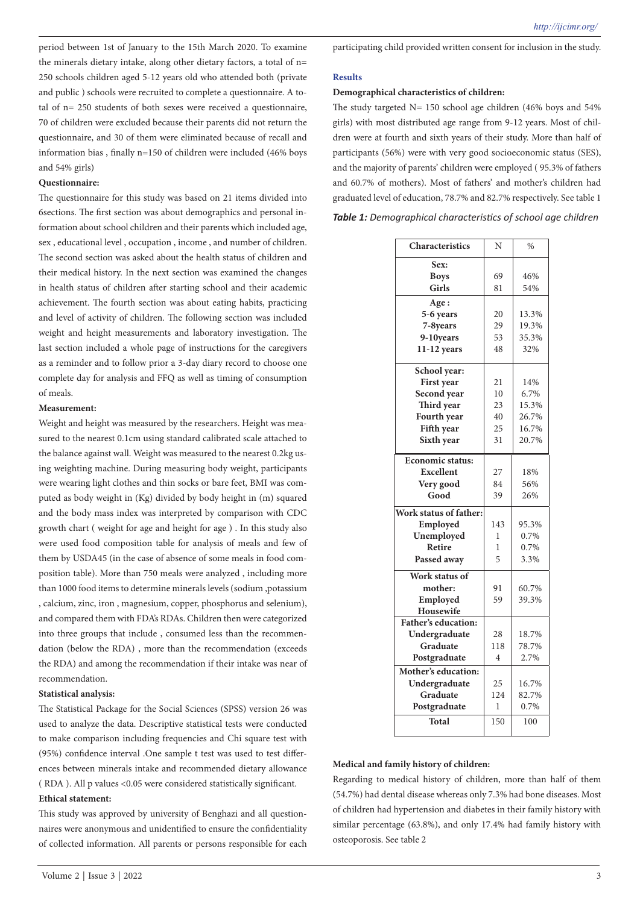period between 1st of January to the 15th March 2020. To examine the minerals dietary intake, along other dietary factors, a total of n= 250 schools children aged 5-12 years old who attended both (private and public ) schools were recruited to complete a questionnaire. A total of n= 250 students of both sexes were received a questionnaire, 70 of children were excluded because their parents did not return the questionnaire, and 30 of them were eliminated because of recall and information bias , finally n=150 of children were included (46% boys and 54% girls)

# **Questionnaire:**

The questionnaire for this study was based on 21 items divided into 6sections. The first section was about demographics and personal information about school children and their parents which included age, sex , educational level , occupation , income , and number of children. The second section was asked about the health status of children and their medical history. In the next section was examined the changes in health status of children after starting school and their academic achievement. The fourth section was about eating habits, practicing and level of activity of children. The following section was included weight and height measurements and laboratory investigation. The last section included a whole page of instructions for the caregivers as a reminder and to follow prior a 3-day diary record to choose one complete day for analysis and FFQ as well as timing of consumption of meals.

#### **Measurement:**

Weight and height was measured by the researchers. Height was measured to the nearest 0.1cm using standard calibrated scale attached to the balance against wall. Weight was measured to the nearest 0.2kg using weighting machine. During measuring body weight, participants were wearing light clothes and thin socks or bare feet, BMI was computed as body weight in (Kg) divided by body height in (m) squared and the body mass index was interpreted by comparison with CDC growth chart ( weight for age and height for age ) . In this study also were used food composition table for analysis of meals and few of them by USDA45 (in the case of absence of some meals in food composition table). More than 750 meals were analyzed , including more than 1000 food items to determine minerals levels (sodium ,potassium , calcium, zinc, iron , magnesium, copper, phosphorus and selenium), and compared them with FDA's RDAs. Children then were categorized into three groups that include , consumed less than the recommendation (below the RDA) , more than the recommendation (exceeds the RDA) and among the recommendation if their intake was near of recommendation.

### **Statistical analysis:**

The Statistical Package for the Social Sciences (SPSS) version 26 was used to analyze the data. Descriptive statistical tests were conducted to make comparison including frequencies and Chi square test with (95%) confidence interval .One sample t test was used to test differences between minerals intake and recommended dietary allowance ( RDA ). All p values <0.05 were considered statistically significant. **Ethical statement:** 

This study was approved by university of Benghazi and all questionnaires were anonymous and unidentified to ensure the confidentiality of collected information. All parents or persons responsible for each participating child provided written consent for inclusion in the study.

#### **Results**

#### **Demographical characteristics of children:**

The study targeted  $N= 150$  school age children (46% boys and 54%) girls) with most distributed age range from 9-12 years. Most of children were at fourth and sixth years of their study. More than half of participants (56%) were with very good socioeconomic status (SES), and the majority of parents' children were employed ( 95.3% of fathers and 60.7% of mothers). Most of fathers' and mother's children had graduated level of education, 78.7% and 82.7% respectively. See table 1

|                | $\frac{0}{0}$ |
|----------------|---------------|
|                |               |
| 69             | 46%           |
| 81             | 54%           |
|                |               |
| 20             | 13.3%         |
| 29             | 19.3%         |
| 53             | 35.3%         |
| 48             | 32%           |
|                |               |
| 21             | 14%           |
| 10             | 6.7%          |
| 23             | 15.3%         |
| 40             | 26.7%         |
| 25             | 16.7%         |
| 31             | 20.7%         |
|                |               |
|                | 18%           |
| 84             | 56%           |
| 39             | 26%           |
|                |               |
| 143            | 95.3%         |
| 1              | 0.7%          |
| 1              | 0.7%          |
| 5              | 3.3%          |
|                |               |
| 91             | 60.7%         |
| 59             | 39.3%         |
|                |               |
|                |               |
| 28             | 18.7%         |
| 118            | 78.7%         |
| $\overline{4}$ | 2.7%          |
|                |               |
| 25             | 16.7%         |
| 124            | 82.7%         |
| 1              | 0.7%          |
| 150            | 100           |
|                | N<br>27       |

#### **Medical and family history of children:**

Regarding to medical history of children, more than half of them (54.7%) had dental disease whereas only 7.3% had bone diseases. Most of children had hypertension and diabetes in their family history with similar percentage (63.8%), and only 17.4% had family history with osteoporosis. See table 2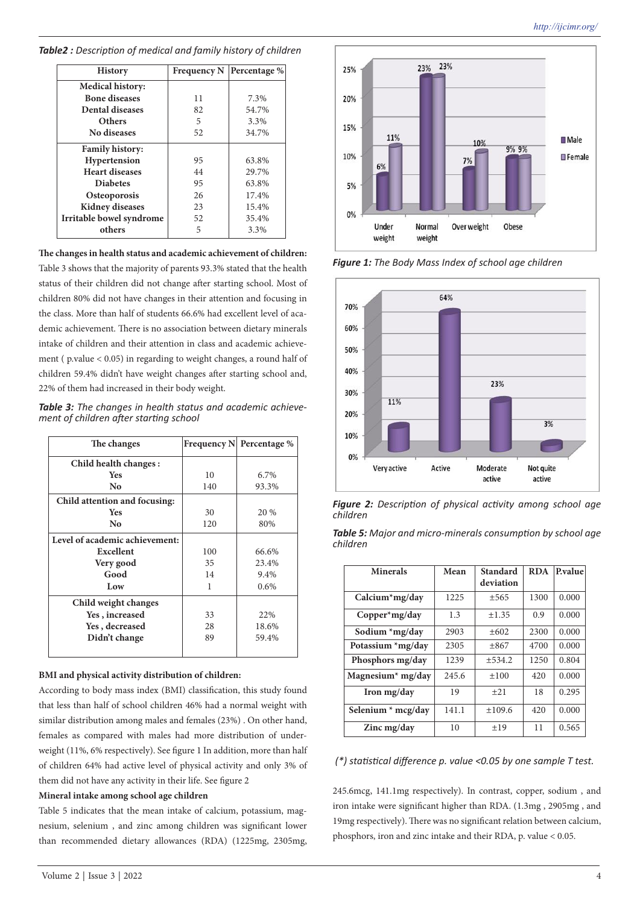| <b>History</b>           | <b>Frequency N</b> | Percentage % |
|--------------------------|--------------------|--------------|
| Medical history:         |                    |              |
| <b>Bone diseases</b>     | 11                 | 7.3%         |
| <b>Dental diseases</b>   | 82                 | 54.7%        |
| Others                   | 5                  | 3.3%         |
| No diseases              | 52                 | 34.7%        |
| <b>Family history:</b>   |                    |              |
| Hypertension             | 95                 | 63.8%        |
| <b>Heart diseases</b>    | 44                 | 29.7%        |
| <b>Diabetes</b>          | 95                 | 63.8%        |
| <b>Osteoporosis</b>      | 26                 | 17.4%        |
| <b>Kidney diseases</b>   | 23                 | 15.4%        |
| Irritable bowel syndrome | 52                 | 35.4%        |
| others                   | 5                  | 3.3%         |

*Table2 : Description of medical and family history of children*

**The changes in health status and academic achievement of children:**

Table 3 shows that the majority of parents 93.3% stated that the health status of their children did not change after starting school. Most of children 80% did not have changes in their attention and focusing in the class. More than half of students 66.6% had excellent level of academic achievement. There is no association between dietary minerals intake of children and their attention in class and academic achievement ( p.value < 0.05) in regarding to weight changes, a round half of children 59.4% didn't have weight changes after starting school and, 22% of them had increased in their body weight.

*Table 3: The changes in health status and academic achieve- ment of children after starting school*

| The changes                    |     | Frequency N Percentage % |  |
|--------------------------------|-----|--------------------------|--|
| Child health changes:          |     |                          |  |
| <b>Yes</b>                     | 10  | 6.7%                     |  |
| No                             | 140 | 93.3%                    |  |
| Child attention and focusing:  |     |                          |  |
| <b>Yes</b>                     | 30  | 20 %                     |  |
| No                             | 120 | 80%                      |  |
| Level of academic achievement: |     |                          |  |
| Excellent                      | 100 | 66.6%                    |  |
| Very good                      | 35  | 23.4%                    |  |
| Good                           | 14  | 9.4%                     |  |
| Low                            | 1   | 0.6%                     |  |
| Child weight changes           |     |                          |  |
| Yes, increased                 | 33  | 22%                      |  |
| Yes, decreased                 | 28  | 18.6%                    |  |
| Didn't change                  | 89  | 59.4%                    |  |
|                                |     |                          |  |

# **BMI and physical activity distribution of children:**

According to body mass index (BMI) classification, this study found that less than half of school children 46% had a normal weight with similar distribution among males and females (23%) . On other hand, females as compared with males had more distribution of underweight (11%, 6% respectively). See figure 1 In addition, more than half of children 64% had active level of physical activity and only 3% of them did not have any activity in their life. See figure 2

# **Mineral intake among school age children**

Table 5 indicates that the mean intake of calcium, potassium, magnesium, selenium , and zinc among children was significant lower than recommended dietary allowances (RDA) (1225mg, 2305mg,



*Figure 1: The Body Mass Index of school age children*



*Figure 2: Description of physical activity among school age children*

| <b>Table 5:</b> Major and micro-minerals consumption by school age |  |
|--------------------------------------------------------------------|--|
| children                                                           |  |

| <b>Minerals</b>        | Mean  | Standard  | <b>RDA</b> | <b>P</b> .value |
|------------------------|-------|-----------|------------|-----------------|
|                        |       | deviation |            |                 |
| Calcium*mg/day         | 1225  | ±565      | 1300       | 0.000           |
| $Copper^{\ast}mg/day$  | 1.3   | ±1.35     | 0.9        | 0.000           |
| Sodium $\pi$ g/day     | 2903  | $\pm 602$ | 2300       | 0.000           |
| Potassium $\pi$ mg/day | 2305  | +867      | 4700       | 0.000           |
| Phosphors mg/day       | 1239  | ±534.2    | 1250       | 0.804           |
| Magnesium* mg/day      | 245.6 | ±100      | 420        | 0.000           |
| Iron mg/day            | 19    | $\pm 21$  | 18         | 0.295           |
| Selenium $*$ mcg/day   | 141.1 | ±109.6    | 420        | 0.000           |
| Zinc mg/day            | 10    | ±19       | 11         | 0.565           |

# *(\*) statistical difference p. value <0.05 by one sample T test.*

245.6mcg, 141.1mg respectively). In contrast, copper, sodium , and iron intake were significant higher than RDA. (1.3mg , 2905mg , and 19mg respectively). There was no significant relation between calcium, phosphors, iron and zinc intake and their RDA, p. value < 0.05.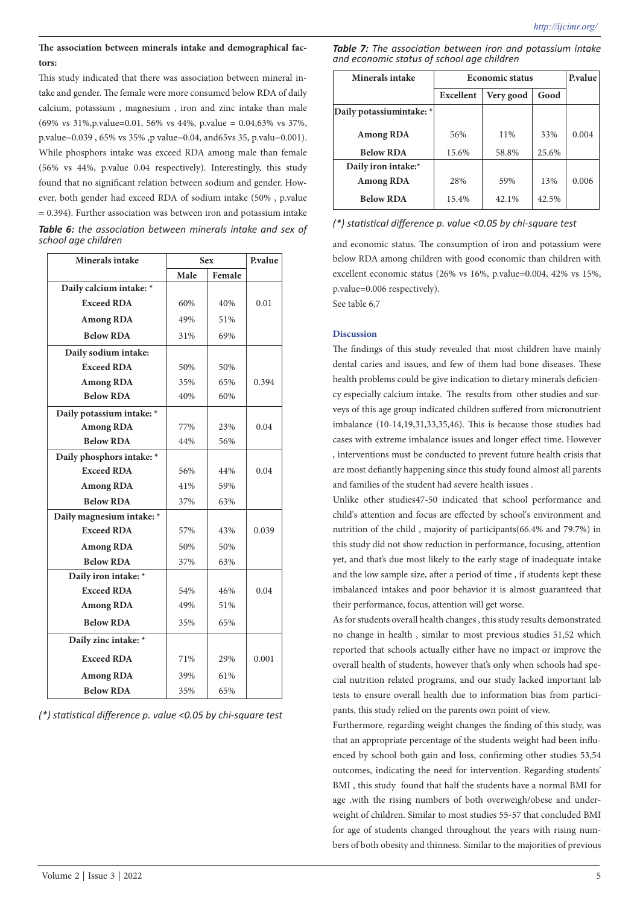# **The association between minerals intake and demographical factors:**

This study indicated that there was association between mineral intake and gender. The female were more consumed below RDA of daily calcium, potassium , magnesium , iron and zinc intake than male (69% vs 31%,p.value=0.01, 56% vs 44%, p.value = 0.04,63% vs 37%, p.value=0.039 , 65% vs 35% ,p value=0.04, and65vs 35, p.valu=0.001). While phosphors intake was exceed RDA among male than female (56% vs 44%, p.value 0.04 respectively). Interestingly, this study found that no significant relation between sodium and gender. However, both gender had exceed RDA of sodium intake (50% , p.value = 0.394). Further association was between iron and potassium intake *Table 6: the association between minerals intake and sex of school age children*

| <b>Minerals intake</b>    | <b>Sex</b> | P.value |       |
|---------------------------|------------|---------|-------|
|                           | Male       | Female  |       |
| Daily calcium intake: *   |            |         |       |
| <b>Exceed RDA</b>         | 60%        | 40%     | 0.01  |
| <b>Among RDA</b>          | 49%        | 51%     |       |
| <b>Below RDA</b>          | 31%        | 69%     |       |
| Daily sodium intake:      |            |         |       |
| <b>Exceed RDA</b>         | 50%        | 50%     |       |
| <b>Among RDA</b>          | 35%        | 65%     | 0.394 |
| <b>Below RDA</b>          | 40%        | 60%     |       |
| Daily potassium intake: * |            |         |       |
| <b>Among RDA</b>          | 77%        | 23%     | 0.04  |
| <b>Below RDA</b>          | 44%        | 56%     |       |
| Daily phosphors intake: * |            |         |       |
| <b>Exceed RDA</b>         | 56%        | 44%     | 0.04  |
| <b>Among RDA</b>          | 41%        | 59%     |       |
| <b>Below RDA</b>          | 37%        | 63%     |       |
| Daily magnesium intake: * |            |         |       |
| <b>Exceed RDA</b>         | 57%        | 43%     | 0.039 |
| <b>Among RDA</b>          | 50%        | 50%     |       |
| <b>Below RDA</b>          | 37%        | 63%     |       |
| Daily iron intake: *      |            |         |       |
| <b>Exceed RDA</b>         | 54%        | 46%     | 0.04  |
| <b>Among RDA</b>          | 49%        | 51%     |       |
| <b>Below RDA</b>          | 35%        | 65%     |       |
| Daily zinc intake: *      |            |         |       |
| <b>Exceed RDA</b>         | 71%        | 29%     | 0.001 |
| <b>Among RDA</b>          | 39%        | 61%     |       |
| <b>Below RDA</b>          | 35%        | 65%     |       |

*(\*) statistical difference p. value <0.05 by chi-square test*

|  |  |                                            |  | <b>Table 7:</b> The association between iron and potassium intake |  |
|--|--|--------------------------------------------|--|-------------------------------------------------------------------|--|
|  |  | and economic status of school age children |  |                                                                   |  |

| Minerals intake          | <b>Economic status</b> | <b>P</b> .value |       |       |
|--------------------------|------------------------|-----------------|-------|-------|
|                          | Excellent              | Good            |       |       |
| Daily potassiumintake: * |                        |                 |       |       |
| Among RDA                | 56%                    | 11%             | 33%   | 0.004 |
| <b>Below RDA</b>         | 15.6%                  | 58.8%           | 25.6% |       |
| Daily iron intake:*      |                        |                 |       |       |
| <b>Among RDA</b>         | 28%                    | 59%             | 13%   | 0.006 |
| <b>Below RDA</b>         | 15.4%                  | 42.1%           | 42.5% |       |

### *(\*) statistical difference p. value <0.05 by chi-square test*

and economic status. The consumption of iron and potassium were below RDA among children with good economic than children with excellent economic status (26% vs 16%, p.value=0.004, 42% vs 15%, p.value=0.006 respectively).

See table 6,7

### **Discussion**

The findings of this study revealed that most children have mainly dental caries and issues, and few of them had bone diseases. These health problems could be give indication to dietary minerals deficiency especially calcium intake. The results from other studies and surveys of this age group indicated children suffered from micronutrient imbalance (10-14,19,31,33,35,46). This is because those studies had cases with extreme imbalance issues and longer effect time. However , interventions must be conducted to prevent future health crisis that are most defiantly happening since this study found almost all parents and families of the student had severe health issues .

Unlike other studies47-50 indicated that school performance and child's attention and focus are effected by school's environment and nutrition of the child , majority of participants(66.4% and 79.7%) in this study did not show reduction in performance, focusing, attention yet, and that's due most likely to the early stage of inadequate intake and the low sample size, after a period of time , if students kept these imbalanced intakes and poor behavior it is almost guaranteed that their performance, focus, attention will get worse.

As for students overall health changes , this study results demonstrated no change in health , similar to most previous studies 51,52 which reported that schools actually either have no impact or improve the overall health of students, however that's only when schools had special nutrition related programs, and our study lacked important lab tests to ensure overall health due to information bias from participants, this study relied on the parents own point of view.

Furthermore, regarding weight changes the finding of this study, was that an appropriate percentage of the students weight had been influenced by school both gain and loss, confirming other studies 53,54 outcomes, indicating the need for intervention. Regarding students' BMI , this study found that half the students have a normal BMI for age ,with the rising numbers of both overweigh/obese and underweight of children. Similar to most studies 55-57 that concluded BMI for age of students changed throughout the years with rising numbers of both obesity and thinness. Similar to the majorities of previous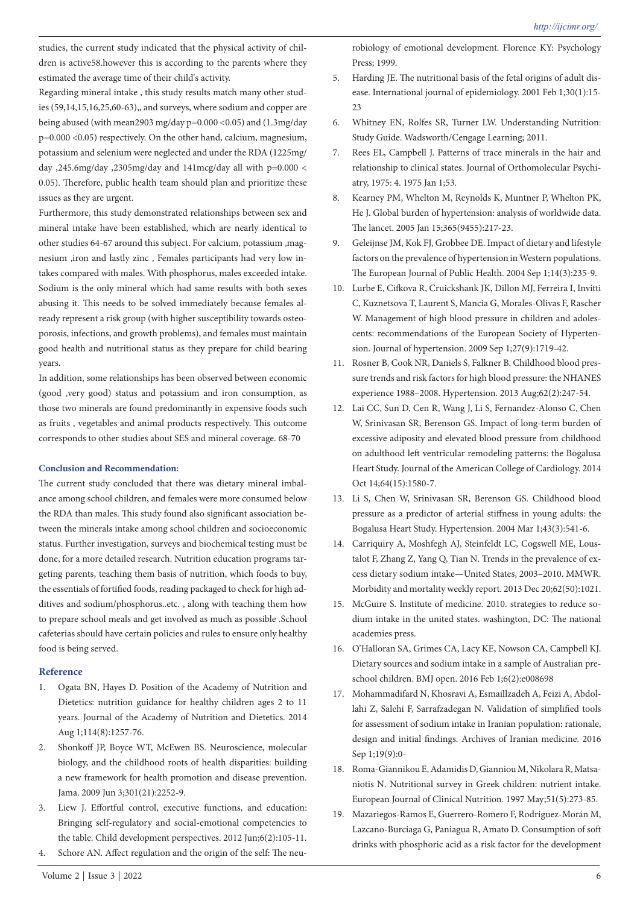studies, the current study indicated that the physical activity of children is active58.however this is according to the parents where they estimated the average time of their child's activity.

Regarding mineral intake , this study results match many other studies (59,14,15,16,25,60-63),, and surveys, where sodium and copper are being abused (with mean2903 mg/day p=0.000 <0.05) and (1.3mg/day p=0.000 <0.05) respectively. On the other hand, calcium, magnesium, potassium and selenium were neglected and under the RDA (1225mg/ day ,245.6mg/day ,2305mg/day and 141mcg/day all with p=0.000 < 0.05). Therefore, public health team should plan and prioritize these issues as they are urgent.

Furthermore, this study demonstrated relationships between sex and mineral intake have been established, which are nearly identical to other studies 64-67 around this subject. For calcium, potassium ,magnesium ,iron and lastly zinc , Females participants had very low intakes compared with males. With phosphorus, males exceeded intake. Sodium is the only mineral which had same results with both sexes abusing it. This needs to be solved immediately because females already represent a risk group (with higher susceptibility towards osteoporosis, infections, and growth problems), and females must maintain good health and nutritional status as they prepare for child bearing years.

In addition, some relationships has been observed between economic (good ,very good) status and potassium and iron consumption, as those two minerals are found predominantly in expensive foods such as fruits , vegetables and animal products respectively. This outcome corresponds to other studies about SES and mineral coverage. 68-70

### **Conclusion and Recommendation:**

The current study concluded that there was dietary mineral imbalance among school children, and females were more consumed below the RDA than males. This study found also significant association between the minerals intake among school children and socioeconomic status. Further investigation, surveys and biochemical testing must be done, for a more detailed research. Nutrition education programs targeting parents, teaching them basis of nutrition, which foods to buy, the essentials of fortified foods, reading packaged to check for high additives and sodium/phosphorus..etc. , along with teaching them how to prepare school meals and get involved as much as possible .School cafeterias should have certain policies and rules to ensure only healthy food is being served.

### **Reference**

- 1. Ogata BN, Hayes D. Position of the Academy of Nutrition and Dietetics: nutrition guidance for healthy children ages 2 to 11 years. Journal of the Academy of Nutrition and Dietetics. 2014 Aug 1;114(8):1257-76.
- 2. Shonkoff JP, Boyce WT, McEwen BS. Neuroscience, molecular biology, and the childhood roots of health disparities: building a new framework for health promotion and disease prevention. Jama. 2009 Jun 3;301(21):2252-9.
- 3. Liew J. Effortful control, executive functions, and education: Bringing self‐regulatory and social‐emotional competencies to the table. Child development perspectives. 2012 Jun;6(2):105-11.
- Schore AN. Affect regulation and the origin of the self: The neu-

robiology of emotional development. Florence KY: Psychology Press; 1999.

- 5. Harding JE. The nutritional basis of the fetal origins of adult disease. International journal of epidemiology. 2001 Feb 1;30(1):15- 23
- 6. Whitney EN, Rolfes SR, Turner LW. Understanding Nutrition: Study Guide. Wadsworth/Cengage Learning; 2011.
- 7. Rees EL, Campbell J. Patterns of trace minerals in the hair and relationship to clinical states. Journal of Orthomolecular Psychiatry, 1975: 4. 1975 Jan 1;53.
- 8. Kearney PM, Whelton M, Reynolds K, Muntner P, Whelton PK, He J. Global burden of hypertension: analysis of worldwide data. The lancet. 2005 Jan 15;365(9455):217-23.
- 9. Geleijnse JM, Kok FJ, Grobbee DE. Impact of dietary and lifestyle factors on the prevalence of hypertension in Western populations. The European Journal of Public Health. 2004 Sep 1;14(3):235-9.
- 10. Lurbe E, Cifkova R, Cruickshank JK, Dillon MJ, Ferreira I, Invitti C, Kuznetsova T, Laurent S, Mancia G, Morales-Olivas F, Rascher W. Management of high blood pressure in children and adolescents: recommendations of the European Society of Hypertension. Journal of hypertension. 2009 Sep 1;27(9):1719-42.
- 11. Rosner B, Cook NR, Daniels S, Falkner B. Childhood blood pressure trends and risk factors for high blood pressure: the NHANES experience 1988–2008. Hypertension. 2013 Aug;62(2):247-54.
- 12. Lai CC, Sun D, Cen R, Wang J, Li S, Fernandez-Alonso C, Chen W, Srinivasan SR, Berenson GS. Impact of long-term burden of excessive adiposity and elevated blood pressure from childhood on adulthood left ventricular remodeling patterns: the Bogalusa Heart Study. Journal of the American College of Cardiology. 2014 Oct 14;64(15):1580-7.
- 13. Li S, Chen W, Srinivasan SR, Berenson GS. Childhood blood pressure as a predictor of arterial stiffness in young adults: the Bogalusa Heart Study. Hypertension. 2004 Mar 1;43(3):541-6.
- 14. Carriquiry A, Moshfegh AJ, Steinfeldt LC, Cogswell ME, Loustalot F, Zhang Z, Yang Q, Tian N. Trends in the prevalence of excess dietary sodium intake—United States, 2003–2010. MMWR. Morbidity and mortality weekly report. 2013 Dec 20;62(50):1021.
- 15. McGuire S. Institute of medicine. 2010. strategies to reduce sodium intake in the united states. washington, DC: The national academies press.
- 16. O'Halloran SA, Grimes CA, Lacy KE, Nowson CA, Campbell KJ. Dietary sources and sodium intake in a sample of Australian preschool children. BMJ open. 2016 Feb 1;6(2):e008698
- 17. Mohammadifard N, Khosravi A, Esmaillzadeh A, Feizi A, Abdollahi Z, Salehi F, Sarrafzadegan N. Validation of simplified tools for assessment of sodium intake in Iranian population: rationale, design and initial findings. Archives of Iranian medicine. 2016 Sep 1;19(9):0-
- 18. Roma-Giannikou E, Adamidis D, Gianniou M, Nikolara R, Matsaniotis N. Nutritional survey in Greek children: nutrient intake. European Journal of Clinical Nutrition. 1997 May;51(5):273-85.
- 19. Mazariegos-Ramos E, Guerrero-Romero F, Rodríguez-Morán M, Lazcano-Burciaga G, Paniagua R, Amato D. Consumption of soft drinks with phosphoric acid as a risk factor for the development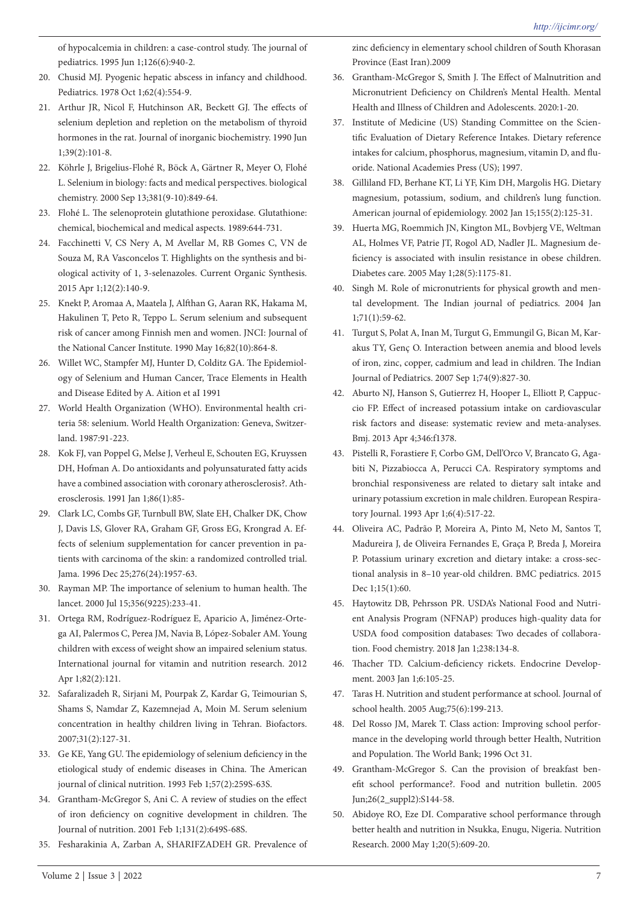of hypocalcemia in children: a case-control study. The journal of pediatrics. 1995 Jun 1;126(6):940-2.

- 20. Chusid MJ. Pyogenic hepatic abscess in infancy and childhood. Pediatrics. 1978 Oct 1;62(4):554-9.
- 21. Arthur JR, Nicol F, Hutchinson AR, Beckett GJ. The effects of selenium depletion and repletion on the metabolism of thyroid hormones in the rat. Journal of inorganic biochemistry. 1990 Jun 1;39(2):101-8.
- 22. Köhrle J, Brigelius-Flohé R, Böck A, Gärtner R, Meyer O, Flohé L. Selenium in biology: facts and medical perspectives. biological chemistry. 2000 Sep 13;381(9-10):849-64.
- 23. Flohé L. The selenoprotein glutathione peroxidase. Glutathione: chemical, biochemical and medical aspects. 1989:644-731.
- 24. Facchinetti V, CS Nery A, M Avellar M, RB Gomes C, VN de Souza M, RA Vasconcelos T. Highlights on the synthesis and biological activity of 1, 3-selenazoles. Current Organic Synthesis. 2015 Apr 1;12(2):140-9.
- 25. Knekt P, Aromaa A, Maatela J, Alfthan G, Aaran RK, Hakama M, Hakulinen T, Peto R, Teppo L. Serum selenium and subsequent risk of cancer among Finnish men and women. JNCI: Journal of the National Cancer Institute. 1990 May 16;82(10):864-8.
- 26. Willet WC, Stampfer MJ, Hunter D, Colditz GA. The Epidemiology of Selenium and Human Cancer, Trace Elements in Health and Disease Edited by A. Aition et aI 1991
- 27. World Health Organization (WHO). Environmental health criteria 58: selenium. World Health Organization: Geneva, Switzerland. 1987:91-223.
- 28. Kok FJ, van Poppel G, Melse J, Verheul E, Schouten EG, Kruyssen DH, Hofman A. Do antioxidants and polyunsaturated fatty acids have a combined association with coronary atherosclerosis?. Atherosclerosis. 1991 Jan 1;86(1):85-
- 29. Clark LC, Combs GF, Turnbull BW, Slate EH, Chalker DK, Chow J, Davis LS, Glover RA, Graham GF, Gross EG, Krongrad A. Effects of selenium supplementation for cancer prevention in patients with carcinoma of the skin: a randomized controlled trial. Jama. 1996 Dec 25;276(24):1957-63.
- 30. Rayman MP. The importance of selenium to human health. The lancet. 2000 Jul 15;356(9225):233-41.
- 31. Ortega RM, Rodríguez-Rodríguez E, Aparicio A, Jiménez-Ortega AI, Palermos C, Perea JM, Navia B, López-Sobaler AM. Young children with excess of weight show an impaired selenium status. International journal for vitamin and nutrition research. 2012 Apr 1;82(2):121.
- 32. Safaralizadeh R, Sirjani M, Pourpak Z, Kardar G, Teimourian S, Shams S, Namdar Z, Kazemnejad A, Moin M. Serum selenium concentration in healthy children living in Tehran. Biofactors. 2007;31(2):127-31.
- 33. Ge KE, Yang GU. The epidemiology of selenium deficiency in the etiological study of endemic diseases in China. The American journal of clinical nutrition. 1993 Feb 1;57(2):259S-63S.
- 34. Grantham-McGregor S, Ani C. A review of studies on the effect of iron deficiency on cognitive development in children. The Journal of nutrition. 2001 Feb 1;131(2):649S-68S.
- 35. Fesharakinia A, Zarban A, SHARIFZADEH GR. Prevalence of

zinc deficiency in elementary school children of South Khorasan Province (East Iran).2009

- 36. Grantham-McGregor S, Smith J. The Effect of Malnutrition and Micronutrient Deficiency on Children's Mental Health. Mental Health and Illness of Children and Adolescents. 2020:1-20.
- 37. Institute of Medicine (US) Standing Committee on the Scientific Evaluation of Dietary Reference Intakes. Dietary reference intakes for calcium, phosphorus, magnesium, vitamin D, and fluoride. National Academies Press (US); 1997.
- 38. Gilliland FD, Berhane KT, Li YF, Kim DH, Margolis HG. Dietary magnesium, potassium, sodium, and children's lung function. American journal of epidemiology. 2002 Jan 15;155(2):125-31.
- 39. Huerta MG, Roemmich JN, Kington ML, Bovbjerg VE, Weltman AL, Holmes VF, Patrie JT, Rogol AD, Nadler JL. Magnesium deficiency is associated with insulin resistance in obese children. Diabetes care. 2005 May 1;28(5):1175-81.
- 40. Singh M. Role of micronutrients for physical growth and mental development. The Indian journal of pediatrics. 2004 Jan 1;71(1):59-62.
- 41. Turgut S, Polat A, Inan M, Turgut G, Emmungil G, Bican M, Karakus TY, Genç O. Interaction between anemia and blood levels of iron, zinc, copper, cadmium and lead in children. The Indian Journal of Pediatrics. 2007 Sep 1;74(9):827-30.
- 42. Aburto NJ, Hanson S, Gutierrez H, Hooper L, Elliott P, Cappuccio FP. Effect of increased potassium intake on cardiovascular risk factors and disease: systematic review and meta-analyses. Bmj. 2013 Apr 4;346:f1378.
- 43. Pistelli R, Forastiere F, Corbo GM, Dell'Orco V, Brancato G, Agabiti N, Pizzabiocca A, Perucci CA. Respiratory symptoms and bronchial responsiveness are related to dietary salt intake and urinary potassium excretion in male children. European Respiratory Journal. 1993 Apr 1;6(4):517-22.
- 44. Oliveira AC, Padrão P, Moreira A, Pinto M, Neto M, Santos T, Madureira J, de Oliveira Fernandes E, Graça P, Breda J, Moreira P. Potassium urinary excretion and dietary intake: a cross-sectional analysis in 8–10 year-old children. BMC pediatrics. 2015 Dec 1;15(1):60.
- 45. Haytowitz DB, Pehrsson PR. USDA's National Food and Nutrient Analysis Program (NFNAP) produces high-quality data for USDA food composition databases: Two decades of collaboration. Food chemistry. 2018 Jan 1;238:134-8.
- 46. Thacher TD. Calcium-deficiency rickets. Endocrine Development. 2003 Jan 1;6:105-25.
- 47. Taras H. Nutrition and student performance at school. Journal of school health. 2005 Aug;75(6):199-213.
- 48. Del Rosso JM, Marek T. Class action: Improving school performance in the developing world through better Health, Nutrition and Population. The World Bank; 1996 Oct 31.
- 49. Grantham-McGregor S. Can the provision of breakfast benefit school performance?. Food and nutrition bulletin. 2005 Jun;26(2\_suppl2):S144-58.
- 50. Abidoye RO, Eze DI. Comparative school performance through better health and nutrition in Nsukka, Enugu, Nigeria. Nutrition Research. 2000 May 1;20(5):609-20.